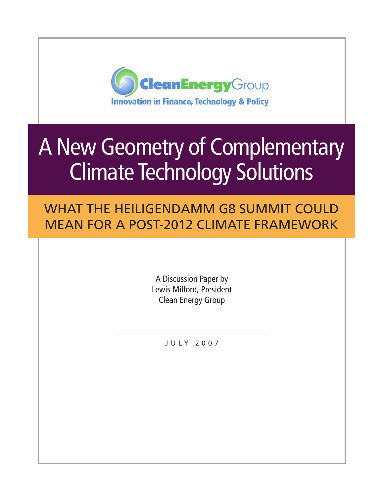

# A New Geometry of Complementary Climate Technology Solutions

What the Heiligendamm G8 Summit Could Mean for a Post-2012 Climate Framework

> A Discussion Paper by Lewis Milford, President Clean Energy Group

> > J U L Y 2 0 0 7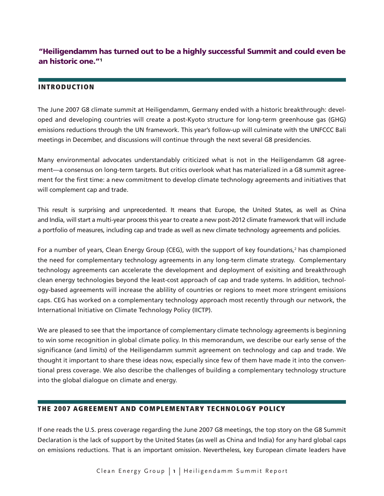# "Heiligendamm has turned out to be a highly successful Summit and could even be an historic one."1

#### Introduction

The June 2007 G8 climate summit at Heiligendamm, Germany ended with a historic breakthrough: developed and developing countries will create a post-Kyoto structure for long-term greenhouse gas (GHG) emissions reductions through the UN framework. This year's follow-up will culminate with the UNFCCC Bali meetings in December, and discussions will continue through the next several G8 presidencies.

Many environmental advocates understandably criticized what is not in the Heiligendamm G8 agreement—a consensus on long-term targets. But critics overlook what has materialized in a G8 summit agreement for the first time: a new commitment to develop climate technology agreements and initiatives that will complement cap and trade.

This result is surprising and unprecedented. It means that Europe, the United States, as well as China and India, will start a multi-year process this year to create a new post-2012 climate framework that will include a portfolio of measures, including cap and trade as well as new climate technology agreements and policies.

For a number of years, Clean Energy Group (CEG), with the support of key foundations,<sup>2</sup> has championed the need for complementary technology agreements in any long-term climate strategy. Complementary technology agreements can accelerate the development and deployment of exisiting and breakthrough clean energy technologies beyond the least-cost approach of cap and trade systems. In addition, technology-based agreements will increase the ablility of countries or regions to meet more stringent emissions caps. CEG has worked on a complementary technology approach most recently through our network, the International Initiative on Climate Technology Policy (IICTP).

We are pleased to see that the importance of complementary climate technology agreements is beginning to win some recognition in global climate policy. In this memorandum, we describe our early sense of the significance (and limits) of the Heiligendamm summit agreement on technology and cap and trade. We thought it important to share these ideas now, especially since few of them have made it into the conventional press coverage. We also describe the challenges of building a complementary technology structure into the global dialogue on climate and energy.

#### The 2007 Agreement and Complementary Technology Policy

If one reads the U.S. press coverage regarding the June 2007 G8 meetings, the top story on the G8 Summit Declaration is the lack of support by the United States (as well as China and India) for any hard global caps on emissions reductions. That is an important omission. Nevertheless, key European climate leaders have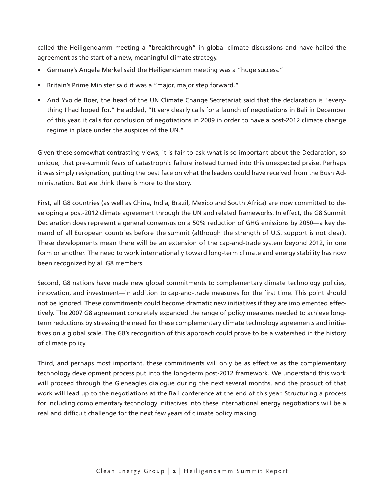called the Heiligendamm meeting a "breakthrough" in global climate discussions and have hailed the agreement as the start of a new, meaningful climate strategy.

- Germany's Angela Merkel said the Heiligendamm meeting was a "huge success."
- Britain's Prime Minister said it was a "major, major step forward."
- And Yvo de Boer, the head of the UN Climate Change Secretariat said that the declaration is "everything I had hoped for." He added, "It very clearly calls for a launch of negotiations in Bali in December of this year, it calls for conclusion of negotiations in 2009 in order to have a post-2012 climate change regime in place under the auspices of the UN."

Given these somewhat contrasting views, it is fair to ask what is so important about the Declaration, so unique, that pre-summit fears of catastrophic failure instead turned into this unexpected praise. Perhaps it was simply resignation, putting the best face on what the leaders could have received from the Bush Administration. But we think there is more to the story.

First, all G8 countries (as well as China, India, Brazil, Mexico and South Africa) are now committed to developing a post-2012 climate agreement through the UN and related frameworks. In effect, the G8 Summit Declaration does represent a general consensus on a 50% reduction of GHG emissions by 2050—a key demand of all European countries before the summit (although the strength of U.S. support is not clear). These developments mean there will be an extension of the cap-and-trade system beyond 2012, in one form or another. The need to work internationally toward long-term climate and energy stability has now been recognized by all G8 members.

Second, G8 nations have made new global commitments to complementary climate technology policies, innovation, and investment—in addition to cap-and-trade measures for the first time. This point should not be ignored. These commitments could become dramatic new initiatives if they are implemented effectively. The 2007 G8 agreement concretely expanded the range of policy measures needed to achieve longterm reductions by stressing the need for these complementary climate technology agreements and initiatives on a global scale. The G8's recognition of this approach could prove to be a watershed in the history of climate policy.

Third, and perhaps most important, these commitments will only be as effective as the complementary technology development process put into the long-term post-2012 framework. We understand this work will proceed through the Gleneagles dialogue during the next several months, and the product of that work will lead up to the negotiations at the Bali conference at the end of this year. Structuring a process for including complementary technology initiatives into these international energy negotiations will be a real and difficult challenge for the next few years of climate policy making.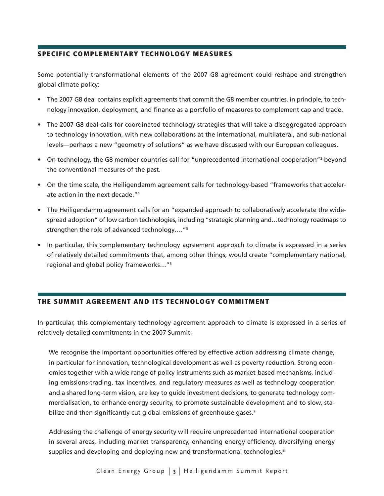# Specific Complementary Technology Measures

Some potentially transformational elements of the 2007 G8 agreement could reshape and strengthen global climate policy:

- The 2007 G8 deal contains explicit agreements that commit the G8 member countries, in principle, to technology innovation, deployment, and finance as a portfolio of measures to complement cap and trade.
- The 2007 G8 deal calls for coordinated technology strategies that will take a disaggregated approach to technology innovation, with new collaborations at the international, multilateral, and sub-national levels—perhaps a new "geometry of solutions" as we have discussed with our European colleagues.
- On technology, the G8 member countries call for "unprecedented international cooperation"<sup>3</sup> beyond the conventional measures of the past.
- On the time scale, the Heiligendamm agreement calls for technology-based "frameworks that accelerate action in the next decade."4
- The Heiligendamm agreement calls for an "expanded approach to collaboratively accelerate the widespread adoption" of low carbon technologies, including "strategic planning and…technology roadmaps to strengthen the role of advanced technology…."5
- In particular, this complementary technology agreement approach to climate is expressed in a series of relatively detailed commitments that, among other things, would create "complementary national, regional and global policy frameworks…"6

# The Summit Agreement and its Technology Commitment

In particular, this complementary technology agreement approach to climate is expressed in a series of relatively detailed commitments in the 2007 Summit:

We recognise the important opportunities offered by effective action addressing climate change, in particular for innovation, technological development as well as poverty reduction. Strong economies together with a wide range of policy instruments such as market-based mechanisms, including emissions-trading, tax incentives, and regulatory measures as well as technology cooperation and a shared long-term vision, are key to guide investment decisions, to generate technology commercialisation, to enhance energy security, to promote sustainable development and to slow, stabilize and then significantly cut global emissions of greenhouse gases.<sup>7</sup>

Addressing the challenge of energy security will require unprecedented international cooperation in several areas, including market transparency, enhancing energy efficiency, diversifying energy supplies and developing and deploying new and transformational technologies.<sup>8</sup>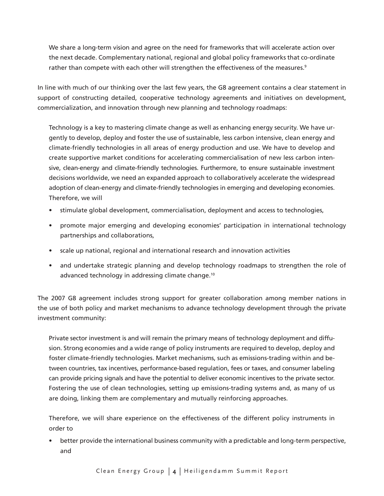We share a long-term vision and agree on the need for frameworks that will accelerate action over the next decade. Complementary national, regional and global policy frameworks that co-ordinate rather than compete with each other will strengthen the effectiveness of the measures.<sup>9</sup>

In line with much of our thinking over the last few years, the G8 agreement contains a clear statement in support of constructing detailed, cooperative technology agreements and initiatives on development, commercialization, and innovation through new planning and technology roadmaps:

Technology is a key to mastering climate change as well as enhancing energy security. We have urgently to develop, deploy and foster the use of sustainable, less carbon intensive, clean energy and climate-friendly technologies in all areas of energy production and use. We have to develop and create supportive market conditions for accelerating commercialisation of new less carbon intensive, clean-energy and climate-friendly technologies. Furthermore, to ensure sustainable investment decisions worldwide, we need an expanded approach to collaboratively accelerate the widespread adoption of clean-energy and climate-friendly technologies in emerging and developing economies. Therefore, we will

- stimulate global development, commercialisation, deployment and access to technologies,
- promote major emerging and developing economies' participation in international technology partnerships and collaborations,
- scale up national, regional and international research and innovation activities
- and undertake strategic planning and develop technology roadmaps to strengthen the role of advanced technology in addressing climate change.<sup>10</sup>

The 2007 G8 agreement includes strong support for greater collaboration among member nations in the use of both policy and market mechanisms to advance technology development through the private investment community:

Private sector investment is and will remain the primary means of technology deployment and diffusion. Strong economies and a wide range of policy instruments are required to develop, deploy and foster climate-friendly technologies. Market mechanisms, such as emissions-trading within and between countries, tax incentives, performance-based regulation, fees or taxes, and consumer labeling can provide pricing signals and have the potential to deliver economic incentives to the private sector. Fostering the use of clean technologies, setting up emissions-trading systems and, as many of us are doing, linking them are complementary and mutually reinforcing approaches.

Therefore, we will share experience on the effectiveness of the different policy instruments in order to

• better provide the international business community with a predictable and long-term perspective, and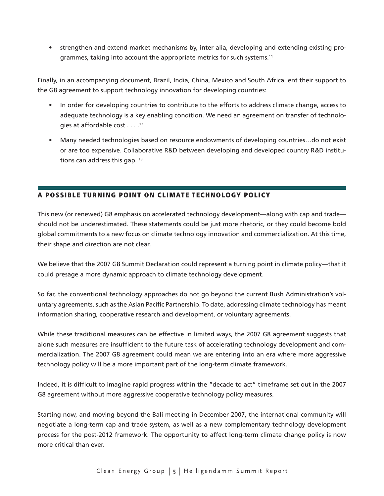• strengthen and extend market mechanisms by, inter alia, developing and extending existing programmes, taking into account the appropriate metrics for such systems.<sup>11</sup>

Finally, in an accompanying document, Brazil, India, China, Mexico and South Africa lent their support to the G8 agreement to support technology innovation for developing countries:

- In order for developing countries to contribute to the efforts to address climate change, access to adequate technology is a key enabling condition. We need an agreement on transfer of technologies at affordable cost . . . .12
- Many needed technologies based on resource endowments of developing countries…do not exist or are too expensive. Collaborative R&D between developing and developed country R&D institutions can address this gap.  $13$

# A Possible Turning Point on Climate Technology Policy

This new (or renewed) G8 emphasis on accelerated technology development—along with cap and trade should not be underestimated. These statements could be just more rhetoric, or they could become bold global commitments to a new focus on climate technology innovation and commercialization. At this time, their shape and direction are not clear.

We believe that the 2007 G8 Summit Declaration could represent a turning point in climate policy—that it could presage a more dynamic approach to climate technology development.

So far, the conventional technology approaches do not go beyond the current Bush Administration's voluntary agreements, such as the Asian Pacific Partnership. To date, addressing climate technology has meant information sharing, cooperative research and development, or voluntary agreements.

While these traditional measures can be effective in limited ways, the 2007 G8 agreement suggests that alone such measures are insufficient to the future task of accelerating technology development and commercialization. The 2007 G8 agreement could mean we are entering into an era where more aggressive technology policy will be a more important part of the long-term climate framework.

Indeed, it is difficult to imagine rapid progress within the "decade to act" timeframe set out in the 2007 G8 agreement without more aggressive cooperative technology policy measures.

Starting now, and moving beyond the Bali meeting in December 2007, the international community will negotiate a long-term cap and trade system, as well as a new complementary technology development process for the post-2012 framework. The opportunity to affect long-term climate change policy is now more critical than ever.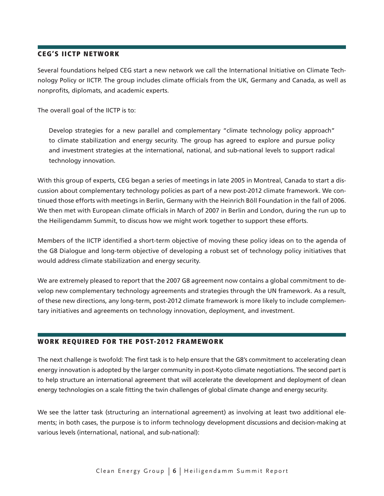#### CEG's IICTP Network

Several foundations helped CEG start a new network we call the International Initiative on Climate Technology Policy or IICTP. The group includes climate officials from the UK, Germany and Canada, as well as nonprofits, diplomats, and academic experts.

The overall goal of the IICTP is to:

Develop strategies for a new parallel and complementary "climate technology policy approach" to climate stabilization and energy security. The group has agreed to explore and pursue policy and investment strategies at the international, national, and sub-national levels to support radical technology innovation.

With this group of experts, CEG began a series of meetings in late 2005 in Montreal, Canada to start a discussion about complementary technology policies as part of a new post-2012 climate framework. We continued those efforts with meetings in Berlin, Germany with the Heinrich Böll Foundation in the fall of 2006. We then met with European climate officials in March of 2007 in Berlin and London, during the run up to the Heiligendamm Summit, to discuss how we might work together to support these efforts.

Members of the IICTP identified a short-term objective of moving these policy ideas on to the agenda of the G8 Dialogue and long-term objective of developing a robust set of technology policy initiatives that would address climate stabilization and energy security.

We are extremely pleased to report that the 2007 G8 agreement now contains a global commitment to develop new complementary technology agreements and strategies through the UN framework. As a result, of these new directions, any long-term, post-2012 climate framework is more likely to include complementary initiatives and agreements on technology innovation, deployment, and investment.

# Work Required for the Post-2012 Framework

The next challenge is twofold: The first task is to help ensure that the G8's commitment to accelerating clean energy innovation is adopted by the larger community in post-Kyoto climate negotiations. The second part is to help structure an international agreement that will accelerate the development and deployment of clean energy technologies on a scale fitting the twin challenges of global climate change and energy security.

We see the latter task (structuring an international agreement) as involving at least two additional elements; in both cases, the purpose is to inform technology development discussions and decision-making at various levels (international, national, and sub-national):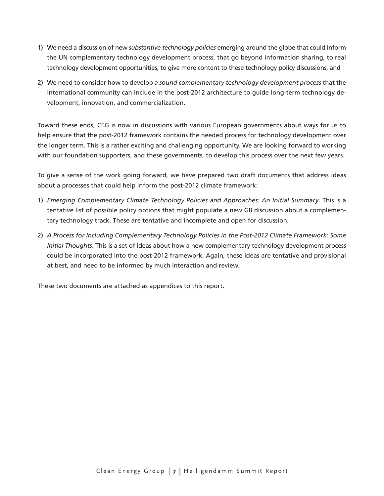- 1) We need a discussion of new *substantive technology policies* emerging around the globe that could inform the UN complementary technology development process, that go beyond information sharing, to real technology development opportunities, to give more content to these technology policy discussions, and
- 2) We need to consider how to develop *a sound complementary technology development process* that the international community can include in the post-2012 architecture to guide long-term technology development, innovation, and commercialization.

Toward these ends, CEG is now in discussions with various European governments about ways for us to help ensure that the post-2012 framework contains the needed process for technology development over the longer term. This is a rather exciting and challenging opportunity. We are looking forward to working with our foundation supporters, and these governments, to develop this process over the next few years.

To give a sense of the work going forward, we have prepared two draft documents that address ideas about a processes that could help inform the post-2012 climate framework:

- 1) *Emerging Complementary Climate Technology Policies and Approaches: An Initial Summary*. This is a tentative list of possible policy options that might populate a new G8 discussion about a complementary technology track. These are tentative and incomplete and open for discussion.
- 2) *A Process for Including Complementary Technology Policies in the Post-2012 Climate Framework: Some Initial Thoughts*. This is a set of ideas about how a new complementary technology development process could be incorporated into the post-2012 framework. Again, these ideas are tentative and provisional at best, and need to be informed by much interaction and review.

These two documents are attached as appendices to this report.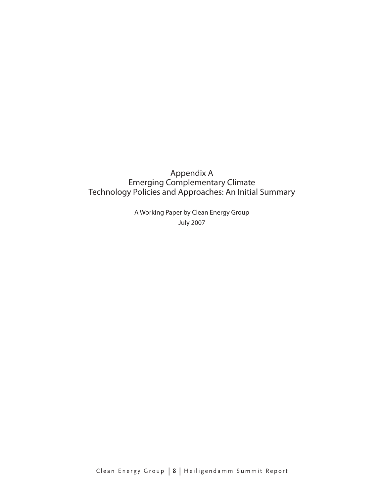# Appendix A Emerging Complementary Climate Technology Policies and Approaches: An Initial Summary

A Working Paper by Clean Energy Group July 2007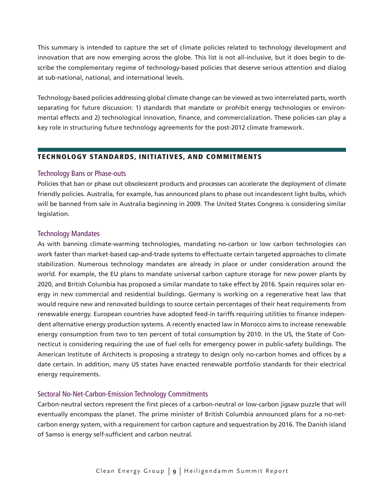This summary is intended to capture the set of climate policies related to technology development and innovation that are now emerging across the globe. This list is not all-inclusive, but it does begin to describe the complementary regime of technology-based policies that deserve serious attention and dialog at sub-national, national, and international levels.

Technology-based policies addressing global climate change can be viewed as two interrelated parts, worth separating for future discussion: 1) standards that mandate or prohibit energy technologies or environmental effects and 2) technological innovation, finance, and commercialization. These policies can play a key role in structuring future technology agreements for the post-2012 climate framework.

# Technology Standards, Initiatives, and Commitments

#### Technology Bans or Phase-outs

Policies that ban or phase out obsolescent products and processes can accelerate the deployment of climate friendly policies. Australia, for example, has announced plans to phase out incandescent light bulbs, which will be banned from sale in Australia beginning in 2009. The United States Congress is considering similar legislation.

#### Technology Mandates

As with banning climate-warming technologies, mandating no-carbon or low carbon technologies can work faster than market-based cap-and-trade systems to effectuate certain targeted approaches to climate stabilization. Numerous technology mandates are already in place or under consideration around the world. For example, the EU plans to mandate universal carbon capture storage for new power plants by 2020, and British Columbia has proposed a similar mandate to take effect by 2016. Spain requires solar energy in new commercial and residential buildings. Germany is working on a regenerative heat law that would require new and renovated buildings to source certain percentages of their heat requirements from renewable energy. European countries have adopted feed-in tariffs requiring utilities to finance independent alternative energy production systems. A recently enacted law in Morocco aims to increase renewable energy consumption from two to ten percent of total consumption by 2010. In the US, the State of Connecticut is considering requiring the use of fuel cells for emergency power in public-safety buildings. The American Institute of Architects is proposing a strategy to design only no-carbon homes and offices by a date certain. In addition, many US states have enacted renewable portfolio standards for their electrical energy requirements.

#### Sectoral No-Net-Carbon-Emission Technology Commitments

Carbon-neutral sectors represent the first pieces of a carbon-neutral or low-carbon jigsaw puzzle that will eventually encompass the planet. The prime minister of British Columbia announced plans for a no-netcarbon energy system, with a requirement for carbon capture and sequestration by 2016. The Danish island of Samso is energy self-sufficient and carbon neutral.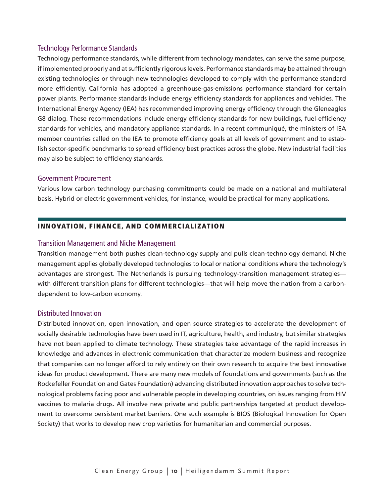#### Technology Performance Standards

Technology performance standards, while different from technology mandates, can serve the same purpose, if implemented properly and at sufficiently rigorous levels. Performance standards may be attained through existing technologies or through new technologies developed to comply with the performance standard more efficiently. California has adopted a greenhouse-gas-emissions performance standard for certain power plants. Performance standards include energy efficiency standards for appliances and vehicles. The International Energy Agency (IEA) has recommended improving energy efficiency through the Gleneagles G8 dialog. These recommendations include energy efficiency standards for new buildings, fuel-efficiency standards for vehicles, and mandatory appliance standards. In a recent communiqué, the ministers of IEA member countries called on the IEA to promote efficiency goals at all levels of government and to establish sector-specific benchmarks to spread efficiency best practices across the globe. New industrial facilities may also be subject to efficiency standards.

#### Government Procurement

Various low carbon technology purchasing commitments could be made on a national and multilateral basis. Hybrid or electric government vehicles, for instance, would be practical for many applications.

#### Innovation, Finance, and Commercialization

#### Transition Management and Niche Management

Transition management both pushes clean-technology supply and pulls clean-technology demand. Niche management applies globally developed technologies to local or national conditions where the technology's advantages are strongest. The Netherlands is pursuing technology-transition management strategies with different transition plans for different technologies—that will help move the nation from a carbondependent to low-carbon economy.

#### Distributed Innovation

Distributed innovation, open innovation, and open source strategies to accelerate the development of socially desirable technologies have been used in IT, agriculture, health, and industry, but similar strategies have not been applied to climate technology. These strategies take advantage of the rapid increases in knowledge and advances in electronic communication that characterize modern business and recognize that companies can no longer afford to rely entirely on their own research to acquire the best innovative ideas for product development. There are many new models of foundations and governments (such as the Rockefeller Foundation and Gates Foundation) advancing distributed innovation approaches to solve technological problems facing poor and vulnerable people in developing countries, on issues ranging from HIV vaccines to malaria drugs. All involve new private and public partnerships targeted at product development to overcome persistent market barriers. One such example is BIOS (Biological Innovation for Open Society) that works to develop new crop varieties for humanitarian and commercial purposes.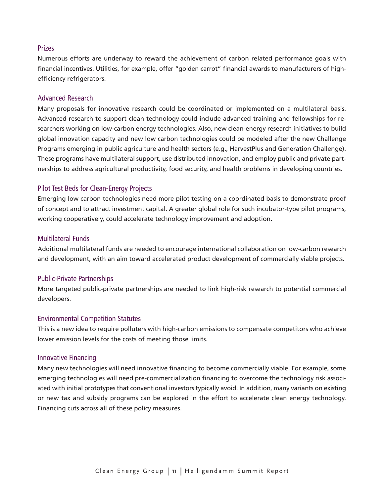#### Prizes

Numerous efforts are underway to reward the achievement of carbon related performance goals with financial incentives. Utilities, for example, offer "golden carrot" financial awards to manufacturers of highefficiency refrigerators.

#### Advanced Research

Many proposals for innovative research could be coordinated or implemented on a multilateral basis. Advanced research to support clean technology could include advanced training and fellowships for researchers working on low-carbon energy technologies. Also, new clean-energy research initiatives to build global innovation capacity and new low carbon technologies could be modeled after the new Challenge Programs emerging in public agriculture and health sectors (e.g., HarvestPlus and Generation Challenge). These programs have multilateral support, use distributed innovation, and employ public and private partnerships to address agricultural productivity, food security, and health problems in developing countries.

# Pilot Test Beds for Clean-Energy Projects

Emerging low carbon technologies need more pilot testing on a coordinated basis to demonstrate proof of concept and to attract investment capital. A greater global role for such incubator-type pilot programs, working cooperatively, could accelerate technology improvement and adoption.

#### Multilateral Funds

Additional multilateral funds are needed to encourage international collaboration on low-carbon research and development, with an aim toward accelerated product development of commercially viable projects.

#### Public-Private Partnerships

More targeted public-private partnerships are needed to link high-risk research to potential commercial developers.

#### Environmental Competition Statutes

This is a new idea to require polluters with high-carbon emissions to compensate competitors who achieve lower emission levels for the costs of meeting those limits.

#### Innovative Financing

Many new technologies will need innovative financing to become commercially viable. For example, some emerging technologies will need pre-commercialization financing to overcome the technology risk associated with initial prototypes that conventional investors typically avoid. In addition, many variants on existing or new tax and subsidy programs can be explored in the effort to accelerate clean energy technology. Financing cuts across all of these policy measures.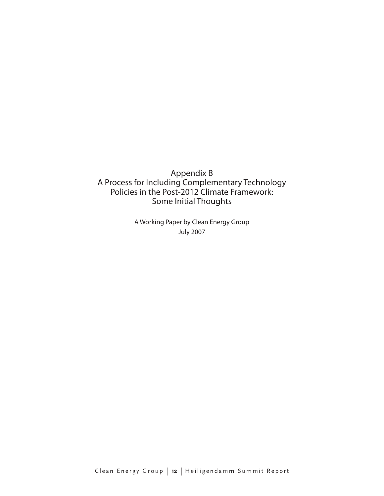Appendix B A Process for Including Complementary Technology Policies in the Post-2012 Climate Framework: Some Initial Thoughts

> A Working Paper by Clean Energy Group July 2007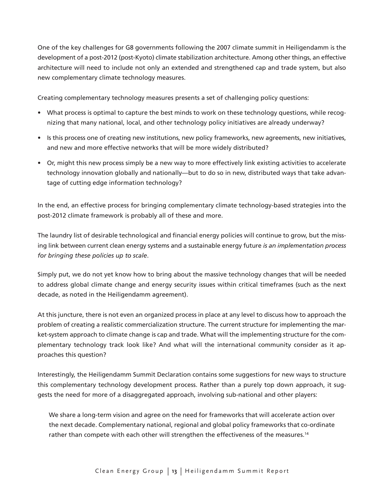One of the key challenges for G8 governments following the 2007 climate summit in Heiligendamm is the development of a post-2012 (post-Kyoto) climate stabilization architecture. Among other things, an effective architecture will need to include not only an extended and strengthened cap and trade system, but also new complementary climate technology measures.

Creating complementary technology measures presents a set of challenging policy questions:

- What process is optimal to capture the best minds to work on these technology questions, while recognizing that many national, local, and other technology policy initiatives are already underway?
- Is this process one of creating new institutions, new policy frameworks, new agreements, new initiatives, and new and more effective networks that will be more widely distributed?
- Or, might this new process simply be a new way to more effectively link existing activities to accelerate technology innovation globally and nationally—but to do so in new, distributed ways that take advantage of cutting edge information technology?

In the end, an effective process for bringing complementary climate technology-based strategies into the post-2012 climate framework is probably all of these and more.

The laundry list of desirable technological and financial energy policies will continue to grow, but the missing link between current clean energy systems and a sustainable energy future *is an implementation process for bringing these policies up to scale*.

Simply put, we do not yet know how to bring about the massive technology changes that will be needed to address global climate change and energy security issues within critical timeframes (such as the next decade, as noted in the Heiligendamm agreement).

At this juncture, there is not even an organized process in place at any level to discuss how to approach the problem of creating a realistic commercialization structure. The current structure for implementing the market-system approach to climate change is cap and trade. What will the implementing structure for the complementary technology track look like? And what will the international community consider as it approaches this question?

Interestingly, the Heiligendamm Summit Declaration contains some suggestions for new ways to structure this complementary technology development process. Rather than a purely top down approach, it suggests the need for more of a disaggregated approach, involving sub-national and other players:

We share a long-term vision and agree on the need for frameworks that will accelerate action over the next decade. Complementary national, regional and global policy frameworks that co-ordinate rather than compete with each other will strengthen the effectiveness of the measures.<sup>14</sup>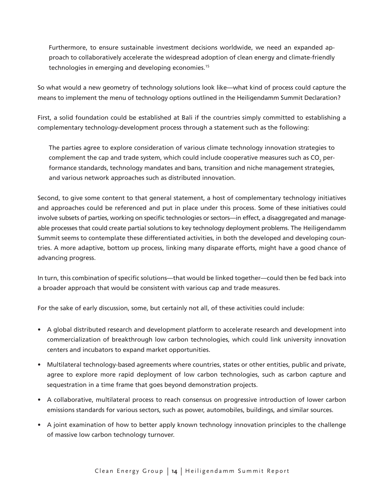Furthermore, to ensure sustainable investment decisions worldwide, we need an expanded approach to collaboratively accelerate the widespread adoption of clean energy and climate-friendly technologies in emerging and developing economies.15

So what would a new geometry of technology solutions look like—what kind of process could capture the means to implement the menu of technology options outlined in the Heiligendamm Summit Declaration?

First, a solid foundation could be established at Bali if the countries simply committed to establishing a complementary technology-development process through a statement such as the following:

The parties agree to explore consideration of various climate technology innovation strategies to complement the cap and trade system, which could include cooperative measures such as CO<sub>2</sub> performance standards, technology mandates and bans, transition and niche management strategies, and various network approaches such as distributed innovation.

Second, to give some content to that general statement, a host of complementary technology initiatives and approaches could be referenced and put in place under this process. Some of these initiatives could involve subsets of parties, working on specific technologies or sectors—in effect, a disaggregated and manageable processes that could create partial solutions to key technology deployment problems. The Heiligendamm Summit seems to contemplate these differentiated activities, in both the developed and developing countries. A more adaptive, bottom up process, linking many disparate efforts, might have a good chance of advancing progress.

In turn, this combination of specific solutions—that would be linked together—could then be fed back into a broader approach that would be consistent with various cap and trade measures.

For the sake of early discussion, some, but certainly not all, of these activities could include:

- A global distributed research and development platform to accelerate research and development into commercialization of breakthrough low carbon technologies, which could link university innovation centers and incubators to expand market opportunities.
- Multilateral technology-based agreements where countries, states or other entities, public and private, agree to explore more rapid deployment of low carbon technologies, such as carbon capture and sequestration in a time frame that goes beyond demonstration projects.
- A collaborative, multilateral process to reach consensus on progressive introduction of lower carbon emissions standards for various sectors, such as power, automobiles, buildings, and similar sources.
- A joint examination of how to better apply known technology innovation principles to the challenge of massive low carbon technology turnover.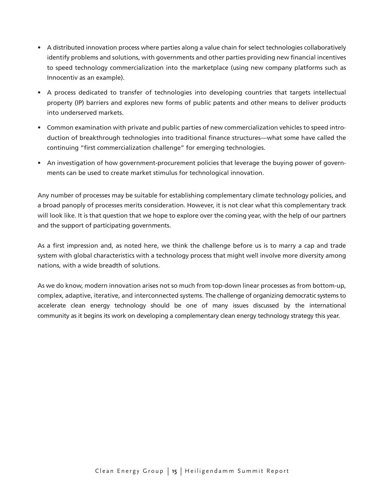- A distributed innovation process where parties along a value chain for select technologies collaboratively identify problems and solutions, with governments and other parties providing new financial incentives to speed technology commercialization into the marketplace (using new company platforms such as Innocentiv as an example).
- A process dedicated to transfer of technologies into developing countries that targets intellectual property (IP) barriers and explores new forms of public patents and other means to deliver products into underserved markets.
- Common examination with private and public parties of new commercialization vehicles to speed introduction of breakthrough technologies into traditional finance structures—what some have called the continuing "first commercialization challenge" for emerging technologies.
- An investigation of how government-procurement policies that leverage the buying power of governments can be used to create market stimulus for technological innovation.

Any number of processes may be suitable for establishing complementary climate technology policies, and a broad panoply of processes merits consideration. However, it is not clear what this complementary track will look like. It is that question that we hope to explore over the coming year, with the help of our partners and the support of participating governments.

As a first impression and, as noted here, we think the challenge before us is to marry a cap and trade system with global characteristics with a technology process that might well involve more diversity among nations, with a wide breadth of solutions.

As we do know, modern innovation arises not so much from top-down linear processes as from bottom-up, complex, adaptive, iterative, and interconnected systems. The challenge of organizing democratic systems to accelerate clean energy technology should be one of many issues discussed by the international community as it begins its work on developing a complementary clean energy technology strategy this year.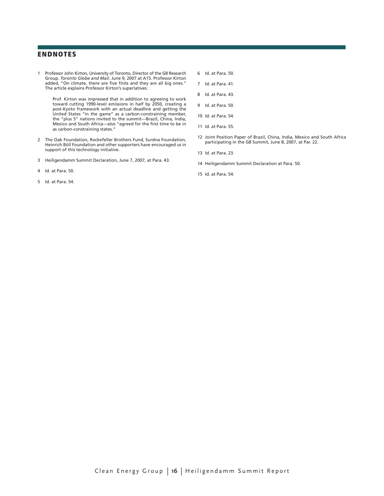#### **ENDNOTES**

1 Professor John Kirton, University of Toronto, Director of the G8 Research Group. *Toronto Globe and Mail*. June 9, 2007 at A15. Professor Kirton added, "On climate, there are five firsts and they are all big ones." The article explains Professor Kirton's superlatives:

 Prof. Kirton was impressed that in addition to agreeing to work toward cutting 1990-level emissions in half by 2050, creating a post-Kyoto framework with an actual deadline and getting the United States "in the game" as a carbon-constraining member, the "plus 5" nations invited to the summit—Brazil, China, India, Mexico and South Africa—also "agreed for the first time to be in as carbon-constraining states."

- 2 The Oak Foundation, Rockefeller Brothers Fund, Surdna Foundation, Heinrich Böll Foundation and other supporters have encouraged us in support of this technology initiative.
- 3 Heiligendamm Summit Declaration, June 7, 2007, at Para. 43.
- 4 Id. at Para. 50.
- 5 Id. at Para. 54.
- 6 Id. at Para. 50.
- 7 Id. at Para. 41.
- 8 Id. at Para. 43.
- 9 Id. at Para. 50.
- 10 Id. at Para. 54.
- 11 Id. at Para. 55.
- 12 Joint Position Paper of Brazil, China, India, Mexico and South Africa participating in the G8 Summit, June 8, 2007, at Par. 22.
- 13 Id. at Para. 23.
- 14 Heiligendamm Summit Declaration at Para. 50.
- 15 Id. at Para. 54.